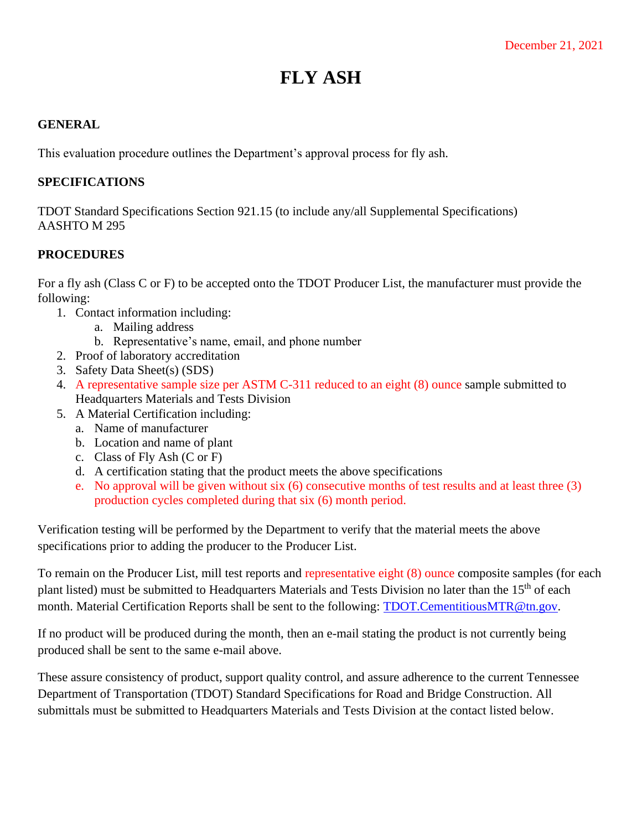## **FLY ASH**

## **GENERAL**

This evaluation procedure outlines the Department's approval process for fly ash.

## **SPECIFICATIONS**

TDOT Standard Specifications Section 921.15 (to include any/all Supplemental Specifications) AASHTO M 295

## **PROCEDURES**

For a fly ash (Class C or F) to be accepted onto the TDOT Producer List, the manufacturer must provide the following:

- 1. Contact information including:
	- a. Mailing address
	- b. Representative's name, email, and phone number
- 2. Proof of laboratory accreditation
- 3. Safety Data Sheet(s) (SDS)
- 4. A representative sample size per ASTM C-311 reduced to an eight (8) ounce sample submitted to Headquarters Materials and Tests Division
- 5. A Material Certification including:
	- a. Name of manufacturer
	- b. Location and name of plant
	- c. Class of Fly Ash (C or F)
	- d. A certification stating that the product meets the above specifications
	- e. No approval will be given without six (6) consecutive months of test results and at least three (3) production cycles completed during that six (6) month period.

Verification testing will be performed by the Department to verify that the material meets the above specifications prior to adding the producer to the Producer List.

To remain on the Producer List, mill test reports and representative eight (8) ounce composite samples (for each plant listed) must be submitted to Headquarters Materials and Tests Division no later than the 15<sup>th</sup> of each month. Material Certification Reports shall be sent to the following: [TDOT.CementitiousMTR@tn.gov.](mailto:TDOT.CementitiousMTR@tn.gov)

If no product will be produced during the month, then an e-mail stating the product is not currently being produced shall be sent to the same e-mail above.

These assure consistency of product, support quality control, and assure adherence to the current Tennessee Department of Transportation (TDOT) Standard Specifications for Road and Bridge Construction. All submittals must be submitted to Headquarters Materials and Tests Division at the contact listed below.